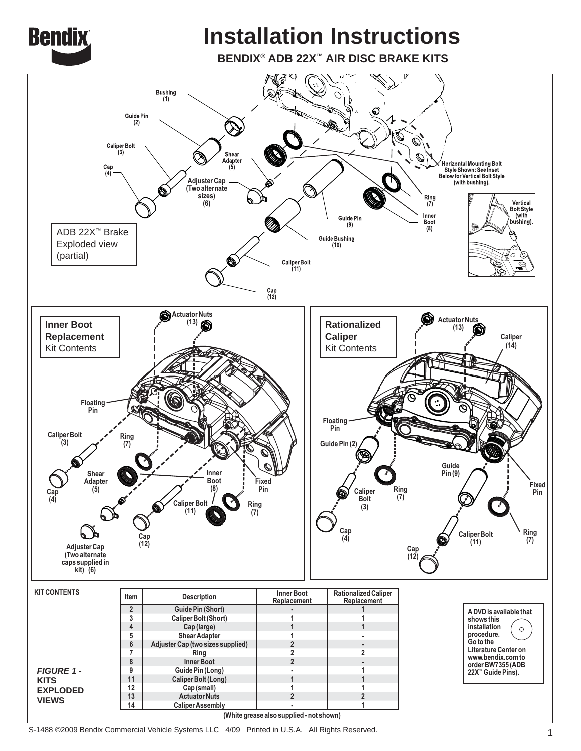

# **Installation Instructions**

**BENDIX® ADB 22X™ AIR DISC BRAKE KITS**



S-1488 ©2009 Bendix Commercial Vehicle Systems LLC 4/09 Printed in U.S.A. All Rights Reserved.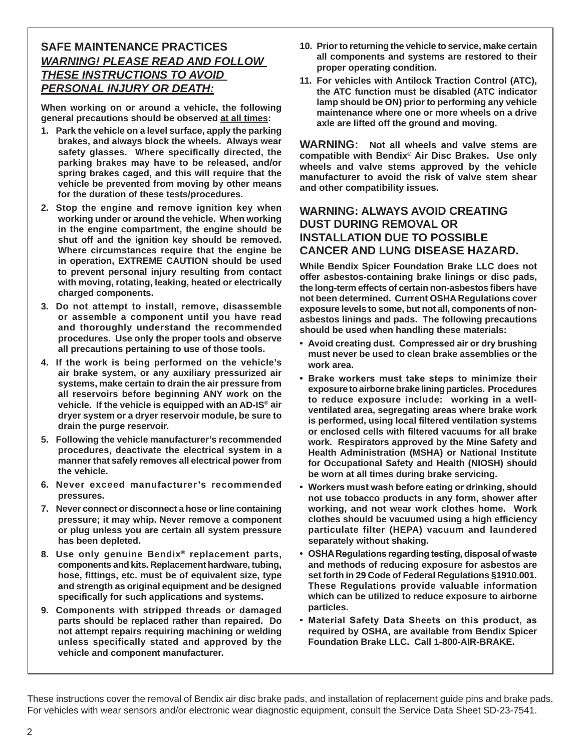#### **SAFE MAINTENANCE PRACTICES** *WARNING! PLEASE READ AND FOLLOW THESE INSTRUCTIONS TO AVOID PERSONAL INJURY OR DEATH:*

**When working on or around a vehicle, the following general precautions should be observed at all times:**

- **1. Park the vehicle on a level surface, apply the parking brakes, and always block the wheels. Always wear**  safety glasses. Where specifically directed, the **parking brakes may have to be released, and/or spring brakes caged, and this will require that the vehicle be prevented from moving by other means for the duration of these tests/procedures.**
- **2. Stop the engine and remove ignition key when working under or around the vehicle. When working in the engine compartment, the engine should be shut off and the ignition key should be removed. Where circumstances require that the engine be in operation, EXTREME CAUTION should be used to prevent personal injury resulting from contact with moving, rotating, leaking, heated or electrically charged components.**
- **3. Do not attempt to install, remove, disassemble or assemble a component until you have read and thoroughly understand the recommended procedures. Use only the proper tools and observe all precautions pertaining to use of those tools.**
- **4. If the work is being performed on the vehicle's air brake system, or any auxiliary pressurized air systems, make certain to drain the air pressure from all reservoirs before beginning ANY work on the vehicle. If the vehicle is equipped with an AD-IS® air dryer system or a dryer reservoir module, be sure to drain the purge reservoir.**
- **5. Following the vehicle manufacturer's recommended procedures, deactivate the electrical system in a manner that safely removes all electrical power from the vehicle.**
- **6. Never exceed manufacturer's recommended pressures.**
- **7. Never connect or disconnect a hose or line containing pressure; it may whip. Never remove a component or plug unless you are certain all system pressure has been depleted.**
- **8. Use only genuine Bendix® replacement parts, components and kits. Replacement hardware, tubing, hose, fi ttings, etc. must be of equivalent size, type and strength as original equipment and be designed specifi cally for such applications and systems.**
- **9. Components with stripped threads or damaged parts should be replaced rather than repaired. Do not attempt repairs requiring machining or welding unless specifically stated and approved by the vehicle and component manufacturer.**
- **10. Prior to returning the vehicle to service, make certain all components and systems are restored to their proper operating condition.**
- **11. For vehicles with Antilock Traction Control (ATC), the ATC function must be disabled (ATC indicator lamp should be ON) prior to performing any vehicle maintenance where one or more wheels on a drive axle are lifted off the ground and moving.**

**WARNING: Not all wheels and valve stems are compatible with Bendix® Air Disc Brakes. Use only wheels and valve stems approved by the vehicle manufacturer to avoid the risk of valve stem shear and other compatibility issues.**

#### **WARNING: ALWAYS AVOID CREATING DUST DURING REMOVAL OR INSTALLATION DUE TO POSSIBLE CANCER AND LUNG DISEASE HAZARD.**

**While Bendix Spicer Foundation Brake LLC does not offer asbestos-containing brake linings or disc pads, the long-term effects of certain non-asbestos fi bers have not been determined. Current OSHA Regulations cover exposure levels to some, but not all, components of nonasbestos linings and pads. The following precautions should be used when handling these materials:**

- **Avoid creating dust. Compressed air or dry brushing must never be used to clean brake assemblies or the work area.**
- **Brake workers must take steps to minimize their exposure to airborne brake lining particles. Procedures to reduce exposure include: working in a wellventilated area, segregating areas where brake work is performed, using local filtered ventilation systems or enclosed cells with fi ltered vacuums for all brake work. Respirators approved by the Mine Safety and Health Administration (MSHA) or National Institute for Occupational Safety and Health (NIOSH) should be worn at all times during brake servicing.**
- **Workers must wash before eating or drinking, should not use tobacco products in any form, shower after working, and not wear work clothes home. Work clothes should be vacuumed using a high effi ciency particulate filter (HEPA) vacuum and laundered separately without shaking.**
- **OSHA Regulations regarding testing, disposal of waste and methods of reducing exposure for asbestos are set forth in 29 Code of Federal Regulations §1910.001. These Regulations provide valuable information which can be utilized to reduce exposure to airborne particles.**
- **Material Safety Data Sheets on this product, as required by OSHA, are available from Bendix Spicer Foundation Brake LLC. Call 1-800-AIR-BRAKE.**

These instructions cover the removal of Bendix air disc brake pads, and installation of replacement guide pins and brake pads. For vehicles with wear sensors and/or electronic wear diagnostic equipment, consult the Service Data Sheet SD-23-7541.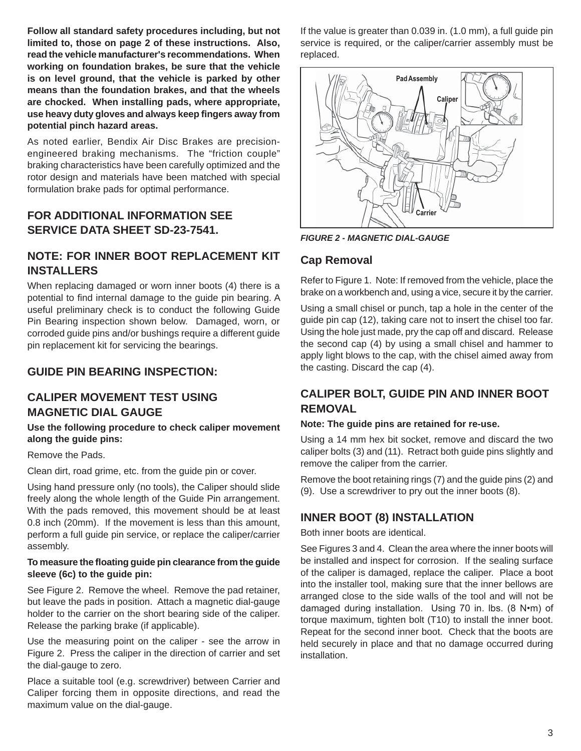**Follow all standard safety procedures including, but not limited to, those on page 2 of these instructions. Also, read the vehicle manufacturer's recommendations. When working on foundation brakes, be sure that the vehicle is on level ground, that the vehicle is parked by other means than the foundation brakes, and that the wheels are chocked. When installing pads, where appropriate, use heavy duty gloves and always keep fi ngers away from potential pinch hazard areas.**

As noted earlier, Bendix Air Disc Brakes are precisionengineered braking mechanisms. The "friction couple" braking characteristics have been carefully optimized and the rotor design and materials have been matched with special formulation brake pads for optimal performance.

#### **FOR ADDITIONAL INFORMATION SEE SERVICE DATA SHEET SD-23-7541.**

#### **NOTE: FOR INNER BOOT REPLACEMENT KIT INSTALLERS**

When replacing damaged or worn inner boots (4) there is a potential to find internal damage to the guide pin bearing. A useful preliminary check is to conduct the following Guide Pin Bearing inspection shown below. Damaged, worn, or corroded guide pins and/or bushings require a different guide pin replacement kit for servicing the bearings.

#### **GUIDE PIN BEARING INSPECTION:**

#### **CALIPER MOVEMENT TEST USING MAGNETIC DIAL GAUGE**

#### **Use the following procedure to check caliper movement along the guide pins:**

Remove the Pads.

Clean dirt, road grime, etc. from the guide pin or cover.

Using hand pressure only (no tools), the Caliper should slide freely along the whole length of the Guide Pin arrangement. With the pads removed, this movement should be at least 0.8 inch (20mm). If the movement is less than this amount, perform a full guide pin service, or replace the caliper/carrier assembly.

#### **To measure the fl oating guide pin clearance from the guide sleeve (6c) to the guide pin:**

See Figure 2. Remove the wheel. Remove the pad retainer, but leave the pads in position. Attach a magnetic dial-gauge holder to the carrier on the short bearing side of the caliper. Release the parking brake (if applicable).

Use the measuring point on the caliper - see the arrow in Figure 2. Press the caliper in the direction of carrier and set the dial-gauge to zero.

Place a suitable tool (e.g. screwdriver) between Carrier and Caliper forcing them in opposite directions, and read the maximum value on the dial-gauge.

If the value is greater than 0.039 in. (1.0 mm), a full guide pin service is required, or the caliper/carrier assembly must be replaced.



*FIGURE 2 - MAGNETIC DIAL-GAUGE*

#### **Cap Removal**

Refer to Figure 1. Note: If removed from the vehicle, place the brake on a workbench and, using a vice, secure it by the carrier.

Using a small chisel or punch, tap a hole in the center of the guide pin cap (12), taking care not to insert the chisel too far. Using the hole just made, pry the cap off and discard. Release the second cap (4) by using a small chisel and hammer to apply light blows to the cap, with the chisel aimed away from the casting. Discard the cap (4).

## **CALIPER BOLT, GUIDE PIN AND INNER BOOT REMOVAL**

#### **Note: The guide pins are retained for re-use.**

Using a 14 mm hex bit socket, remove and discard the two caliper bolts (3) and (11). Retract both guide pins slightly and remove the caliper from the carrier.

Remove the boot retaining rings (7) and the guide pins (2) and (9). Use a screwdriver to pry out the inner boots (8).

## **INNER BOOT (8) INSTALLATION**

Both inner boots are identical.

See Figures 3 and 4. Clean the area where the inner boots will be installed and inspect for corrosion. If the sealing surface of the caliper is damaged, replace the caliper. Place a boot into the installer tool, making sure that the inner bellows are arranged close to the side walls of the tool and will not be damaged during installation. Using 70 in. lbs. (8 N•m) of torque maximum, tighten bolt (T10) to install the inner boot. Repeat for the second inner boot. Check that the boots are held securely in place and that no damage occurred during installation.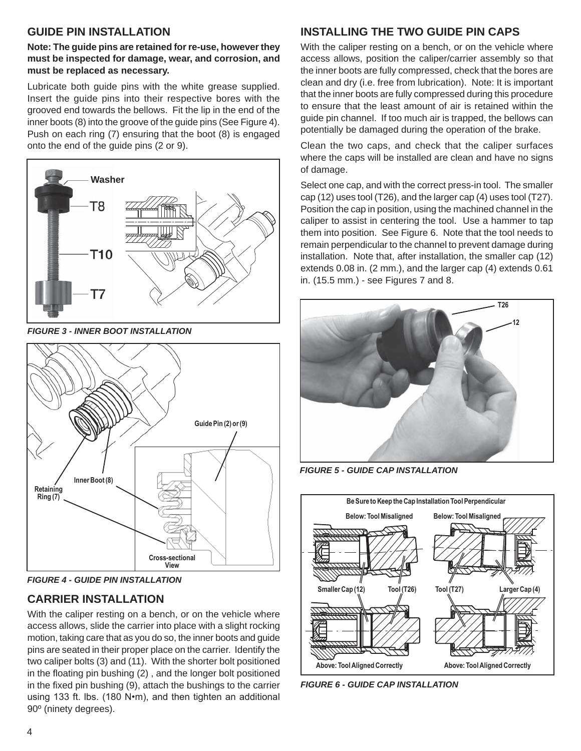#### **GUIDE PIN INSTALLATION**

**Note: The guide pins are retained for re-use, however they must be inspected for damage, wear, and corrosion, and must be replaced as necessary.**

Lubricate both guide pins with the white grease supplied. Insert the guide pins into their respective bores with the grooved end towards the bellows. Fit the lip in the end of the inner boots (8) into the groove of the guide pins (See Figure 4). Push on each ring (7) ensuring that the boot (8) is engaged onto the end of the guide pins (2 or 9).



*FIGURE 3 - INNER BOOT INSTALLATION*



*FIGURE 4 - GUIDE PIN INSTALLATION*

# **CARRIER INSTALLATION**

With the caliper resting on a bench, or on the vehicle where access allows, slide the carrier into place with a slight rocking motion, taking care that as you do so, the inner boots and guide pins are seated in their proper place on the carrier. Identify the two caliper bolts (3) and (11). With the shorter bolt positioned in the floating pin bushing (2), and the longer bolt positioned in the fixed pin bushing (9), attach the bushings to the carrier using 133 ft. lbs. (180 N•m), and then tighten an additional 90º (ninety degrees).

# **INSTALLING THE TWO GUIDE PIN CAPS**

With the caliper resting on a bench, or on the vehicle where access allows, position the caliper/carrier assembly so that the inner boots are fully compressed, check that the bores are clean and dry (i.e. free from lubrication). Note: It is important that the inner boots are fully compressed during this procedure to ensure that the least amount of air is retained within the guide pin channel. If too much air is trapped, the bellows can potentially be damaged during the operation of the brake.

Clean the two caps, and check that the caliper surfaces where the caps will be installed are clean and have no signs of damage.

Select one cap, and with the correct press-in tool. The smaller cap (12) uses tool (T26), and the larger cap (4) uses tool (T27). Position the cap in position, using the machined channel in the caliper to assist in centering the tool. Use a hammer to tap them into position. See Figure 6. Note that the tool needs to remain perpendicular to the channel to prevent damage during installation. Note that, after installation, the smaller cap (12) extends 0.08 in. (2 mm.), and the larger cap (4) extends 0.61 in. (15.5 mm.) - see Figures 7 and 8.



*FIGURE 5 - GUIDE CAP INSTALLATION*



*FIGURE 6 - GUIDE CAP INSTALLATION*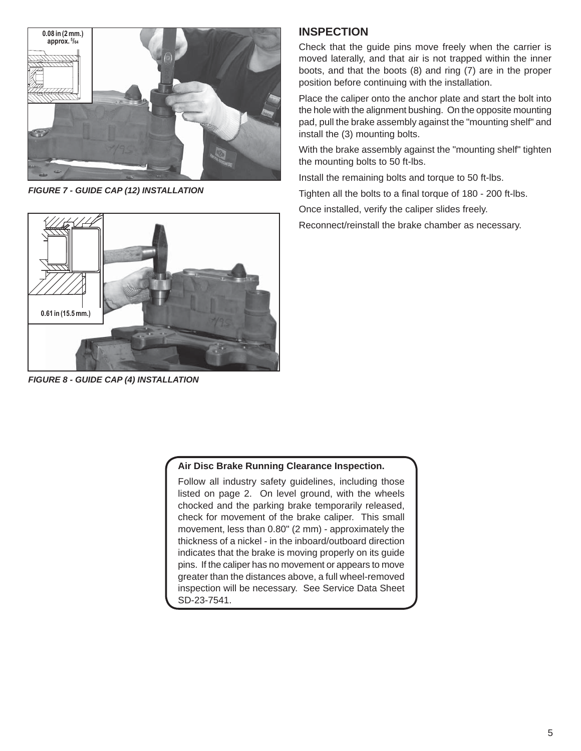

*FIGURE 7 - GUIDE CAP (12) INSTALLATION*

# **0.61 in (15.5 mm.)**

*FIGURE 8 - GUIDE CAP (4) INSTALLATION*

#### **INSPECTION**

Check that the guide pins move freely when the carrier is moved laterally, and that air is not trapped within the inner boots, and that the boots (8) and ring (7) are in the proper position before continuing with the installation.

Place the caliper onto the anchor plate and start the bolt into the hole with the alignment bushing. On the opposite mounting pad, pull the brake assembly against the "mounting shelf" and install the (3) mounting bolts.

With the brake assembly against the "mounting shelf" tighten the mounting bolts to 50 ft-lbs.

Install the remaining bolts and torque to 50 ft-lbs.

Tighten all the bolts to a final torque of 180 - 200 ft-lbs.

Once installed, verify the caliper slides freely.

Reconnect/reinstall the brake chamber as necessary.

#### **Air Disc Brake Running Clearance Inspection.**

Follow all industry safety guidelines, including those listed on page 2. On level ground, with the wheels chocked and the parking brake temporarily released, check for movement of the brake caliper. This small movement, less than 0.80" (2 mm) - approximately the thickness of a nickel - in the inboard/outboard direction indicates that the brake is moving properly on its guide pins. If the caliper has no movement or appears to move greater than the distances above, a full wheel-removed inspection will be necessary. See Service Data Sheet SD-23-7541.